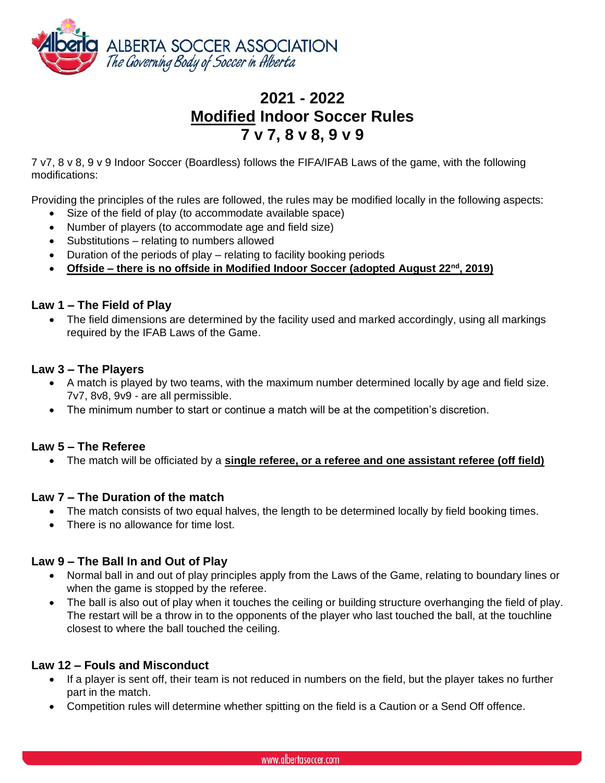

# **2021 - 2022 Modified Indoor Soccer Rules 7 v 7, 8 v 8, 9 v 9**

7 v7, 8 v 8, 9 v 9 Indoor Soccer (Boardless) follows the FIFA/IFAB Laws of the game, with the following modifications:

Providing the principles of the rules are followed, the rules may be modified locally in the following aspects:

- Size of the field of play (to accommodate available space)
- Number of players (to accommodate age and field size)
- Substitutions relating to numbers allowed
- Duration of the periods of play relating to facility booking periods
- **Offside – there is no offside in Modified Indoor Soccer (adopted August 22nd, 2019)**

#### **Law 1 – The Field of Play**

• The field dimensions are determined by the facility used and marked accordingly, using all markings required by the IFAB Laws of the Game.

#### **Law 3 – The Players**

- A match is played by two teams, with the maximum number determined locally by age and field size. 7v7, 8v8, 9v9 - are all permissible.
- The minimum number to start or continue a match will be at the competition's discretion.

#### **Law 5 – The Referee**

• The match will be officiated by a **single referee, or a referee and one assistant referee (off field)**

## **Law 7 – The Duration of the match**

- The match consists of two equal halves, the length to be determined locally by field booking times.
- There is no allowance for time lost.

## **Law 9 – The Ball In and Out of Play**

- Normal ball in and out of play principles apply from the Laws of the Game, relating to boundary lines or when the game is stopped by the referee.
- The ball is also out of play when it touches the ceiling or building structure overhanging the field of play. The restart will be a throw in to the opponents of the player who last touched the ball, at the touchline closest to where the ball touched the ceiling.

## **Law 12 – Fouls and Misconduct**

- If a player is sent off, their team is not reduced in numbers on the field, but the player takes no further part in the match.
- Competition rules will determine whether spitting on the field is a Caution or a Send Off offence.